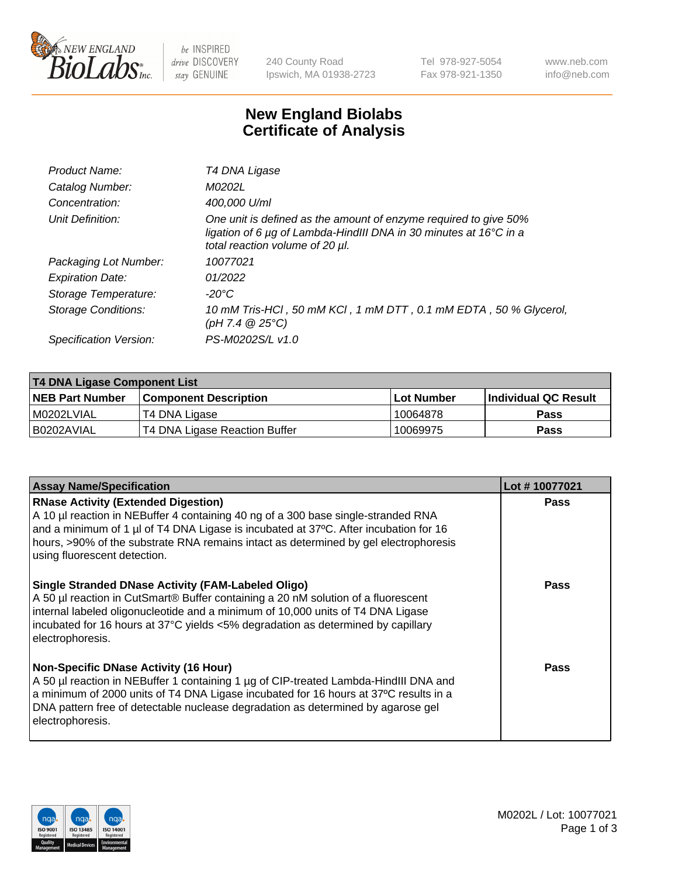

be INSPIRED drive DISCOVERY stay GENUINE

240 County Road Ipswich, MA 01938-2723 Tel 978-927-5054 Fax 978-921-1350 www.neb.com info@neb.com

## **New England Biolabs Certificate of Analysis**

| Product Name:              | T4 DNA Ligase                                                                                                                                                            |
|----------------------------|--------------------------------------------------------------------------------------------------------------------------------------------------------------------------|
| Catalog Number:            | M0202L                                                                                                                                                                   |
| Concentration:             | 400,000 U/ml                                                                                                                                                             |
| Unit Definition:           | One unit is defined as the amount of enzyme required to give 50%<br>ligation of 6 µg of Lambda-HindIII DNA in 30 minutes at 16°C in a<br>total reaction volume of 20 µl. |
| Packaging Lot Number:      | 10077021                                                                                                                                                                 |
| <b>Expiration Date:</b>    | 01/2022                                                                                                                                                                  |
| Storage Temperature:       | -20°C                                                                                                                                                                    |
| <b>Storage Conditions:</b> | 10 mM Tris-HCl, 50 mM KCl, 1 mM DTT, 0.1 mM EDTA, 50 % Glycerol,<br>(pH 7.4 $@25°C$ )                                                                                    |
| Specification Version:     | PS-M0202S/L v1.0                                                                                                                                                         |

| T4 DNA Ligase Component List |                               |              |                             |  |
|------------------------------|-------------------------------|--------------|-----------------------------|--|
| <b>NEB Part Number</b>       | <b>Component Description</b>  | l Lot Number | <b>Individual QC Result</b> |  |
| M0202LVIAL                   | T4 DNA Ligase                 | 10064878     | <b>Pass</b>                 |  |
| I B0202AVIAL                 | T4 DNA Ligase Reaction Buffer | 10069975     | <b>Pass</b>                 |  |

| <b>Assay Name/Specification</b>                                                                                                                                                                                                                                                                                                                    | Lot #10077021 |
|----------------------------------------------------------------------------------------------------------------------------------------------------------------------------------------------------------------------------------------------------------------------------------------------------------------------------------------------------|---------------|
| <b>RNase Activity (Extended Digestion)</b><br>A 10 µl reaction in NEBuffer 4 containing 40 ng of a 300 base single-stranded RNA<br>and a minimum of 1 $\mu$ of T4 DNA Ligase is incubated at 37°C. After incubation for 16<br>hours, >90% of the substrate RNA remains intact as determined by gel electrophoresis<br>using fluorescent detection. | <b>Pass</b>   |
| <b>Single Stranded DNase Activity (FAM-Labeled Oligo)</b><br>A 50 µl reaction in CutSmart® Buffer containing a 20 nM solution of a fluorescent<br>internal labeled oligonucleotide and a minimum of 10,000 units of T4 DNA Ligase<br>incubated for 16 hours at 37°C yields <5% degradation as determined by capillary<br>electrophoresis.          | <b>Pass</b>   |
| <b>Non-Specific DNase Activity (16 Hour)</b><br>A 50 µl reaction in NEBuffer 1 containing 1 µg of CIP-treated Lambda-HindIII DNA and<br>a minimum of 2000 units of T4 DNA Ligase incubated for 16 hours at 37°C results in a<br>DNA pattern free of detectable nuclease degradation as determined by agarose gel<br>electrophoresis.               | Pass          |

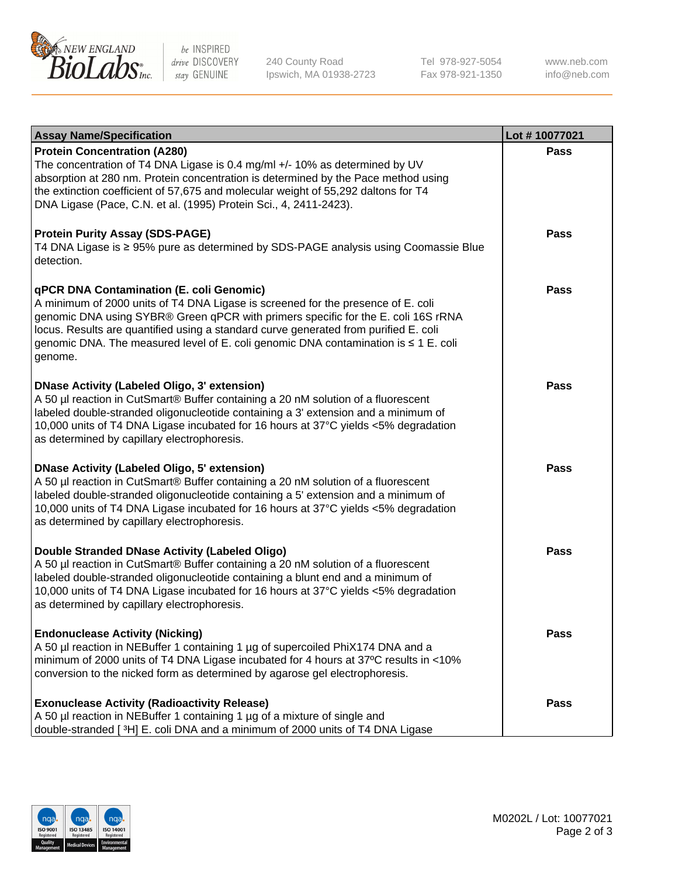

be INSPIRED drive DISCOVERY stay GENUINE

240 County Road Ipswich, MA 01938-2723 Tel 978-927-5054 Fax 978-921-1350 www.neb.com info@neb.com

| <b>Assay Name/Specification</b>                                                                                                                                                                                                                                                                                                                                                                                  | Lot #10077021 |
|------------------------------------------------------------------------------------------------------------------------------------------------------------------------------------------------------------------------------------------------------------------------------------------------------------------------------------------------------------------------------------------------------------------|---------------|
| <b>Protein Concentration (A280)</b><br>The concentration of T4 DNA Ligase is 0.4 mg/ml +/- 10% as determined by UV<br>absorption at 280 nm. Protein concentration is determined by the Pace method using<br>the extinction coefficient of 57,675 and molecular weight of 55,292 daltons for T4<br>DNA Ligase (Pace, C.N. et al. (1995) Protein Sci., 4, 2411-2423).                                              | <b>Pass</b>   |
| <b>Protein Purity Assay (SDS-PAGE)</b><br>T4 DNA Ligase is ≥ 95% pure as determined by SDS-PAGE analysis using Coomassie Blue<br>detection.                                                                                                                                                                                                                                                                      | Pass          |
| qPCR DNA Contamination (E. coli Genomic)<br>A minimum of 2000 units of T4 DNA Ligase is screened for the presence of E. coli<br>genomic DNA using SYBR® Green qPCR with primers specific for the E. coli 16S rRNA<br>locus. Results are quantified using a standard curve generated from purified E. coli<br>genomic DNA. The measured level of E. coli genomic DNA contamination is $\leq 1$ E. coli<br>genome. | Pass          |
| <b>DNase Activity (Labeled Oligo, 3' extension)</b><br>A 50 µl reaction in CutSmart® Buffer containing a 20 nM solution of a fluorescent<br>labeled double-stranded oligonucleotide containing a 3' extension and a minimum of<br>10,000 units of T4 DNA Ligase incubated for 16 hours at 37°C yields <5% degradation<br>as determined by capillary electrophoresis.                                             | Pass          |
| <b>DNase Activity (Labeled Oligo, 5' extension)</b><br>A 50 µl reaction in CutSmart® Buffer containing a 20 nM solution of a fluorescent<br>labeled double-stranded oligonucleotide containing a 5' extension and a minimum of<br>10,000 units of T4 DNA Ligase incubated for 16 hours at 37°C yields <5% degradation<br>as determined by capillary electrophoresis.                                             | <b>Pass</b>   |
| Double Stranded DNase Activity (Labeled Oligo)<br>A 50 µl reaction in CutSmart® Buffer containing a 20 nM solution of a fluorescent<br>labeled double-stranded oligonucleotide containing a blunt end and a minimum of<br>10,000 units of T4 DNA Ligase incubated for 16 hours at 37°C yields <5% degradation<br>as determined by capillary electrophoresis.                                                     | <b>Pass</b>   |
| <b>Endonuclease Activity (Nicking)</b><br>A 50 µl reaction in NEBuffer 1 containing 1 µg of supercoiled PhiX174 DNA and a<br>minimum of 2000 units of T4 DNA Ligase incubated for 4 hours at 37°C results in <10%<br>conversion to the nicked form as determined by agarose gel electrophoresis.                                                                                                                 | Pass          |
| <b>Exonuclease Activity (Radioactivity Release)</b><br>A 50 µl reaction in NEBuffer 1 containing 1 µg of a mixture of single and<br>double-stranded [3H] E. coli DNA and a minimum of 2000 units of T4 DNA Ligase                                                                                                                                                                                                | Pass          |